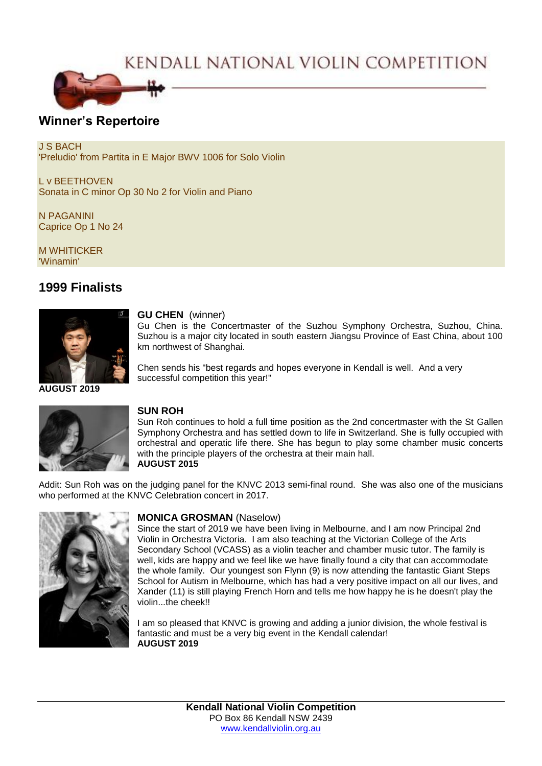# KENDALL NATIONAL VIOLIN COMPETITION



## **Winner's Repertoire**

J S BACH 'Preludio' from Partita in E Major BWV 1006 for Solo Violin

L v BEETHOVEN Sonata in C minor Op 30 No 2 for Violin and Piano

N PAGANINI Caprice Op 1 No 24

M WHITICKER 'Winamin'

# **1999 Finalists**



#### **GU CHEN** (winner)

Gu Chen is the Concertmaster of the Suzhou Symphony Orchestra, Suzhou, China. Suzhou is a major city located in south eastern Jiangsu Province of East China, about 100 km northwest of Shanghai.

Chen sends his "best regards and hopes everyone in Kendall is well. And a very successful competition this year!"



### **SUN ROH**

Sun Roh continues to hold a full time position as the 2nd concertmaster with the St Gallen Symphony Orchestra and has settled down to life in Switzerland. She is fully occupied with orchestral and operatic life there. She has begun to play some chamber music concerts with the principle players of the orchestra at their main hall. **AUGUST 2015**

Addit: Sun Roh was on the judging panel for the KNVC 2013 semi-final round. She was also one of the musicians who performed at the KNVC Celebration concert in 2017.



#### **MONICA GROSMAN** (Naselow)

Since the start of 2019 we have been living in Melbourne, and I am now Principal 2nd Violin in Orchestra Victoria. I am also teaching at the Victorian College of the Arts Secondary School (VCASS) as a violin teacher and chamber music tutor. The family is well, kids are happy and we feel like we have finally found a city that can accommodate the whole family. Our youngest son Flynn (9) is now attending the fantastic Giant Steps School for Autism in Melbourne, which has had a very positive impact on all our lives, and Xander (11) is still playing French Horn and tells me how happy he is he doesn't play the violin...the cheek!!

I am so pleased that KNVC is growing and adding a junior division, the whole festival is fantastic and must be a very big event in the Kendall calendar! **AUGUST 2019**